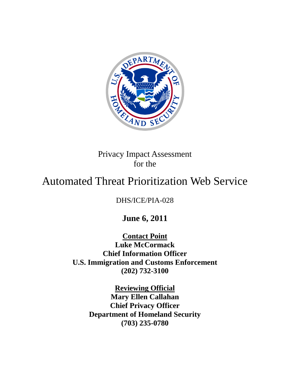

Privacy Impact Assessment for the

# Automated Threat Prioritization Web Service

DHS/ICE/PIA-028

**June 6, 2011**

**Contact Point Luke McCormack Chief Information Officer U.S. Immigration and Customs Enforcement (202) 732-3100**

> **Reviewing Official Mary Ellen Callahan Chief Privacy Officer Department of Homeland Security (703) 235-0780**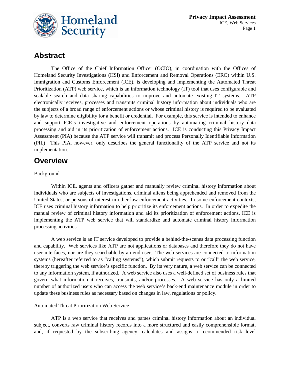

### **Abstract**

The Office of the Chief Information Officer (OCIO), in coordination with the Offices of Homeland Security Investigations (HSI) and Enforcement and Removal Operations (ERO) within U.S. Immigration and Customs Enforcement (ICE), is developing and implementing the Automated Threat Prioritization (ATP) web service, which is an information technology (IT) tool that uses configurable and scalable search and data sharing capabilities to improve and automate existing IT systems. ATP electronically receives, processes and transmits criminal history information about individuals who are the subjects of a broad range of enforcement actions or whose criminal history is required to be evaluated by law to determine eligibility for a benefit or credential. For example, this service is intended to enhance and support ICE's investigative and enforcement operations by automating criminal history data processing and aid in its prioritization of enforcement actions. ICE is conducting this Privacy Impact Assessment (PIA) because the ATP service will transmit and process Personally Identifiable Information (PII.) This PIA, however, only describes the general functionality of the ATP service and not its implementation.

### **Overview**

#### **Background**

Within ICE, agents and officers gather and manually review criminal history information about individuals who are subjects of investigations, criminal aliens being apprehended and removed from the United States, or persons of interest in other law enforcement activities. In some enforcement contexts, ICE uses criminal history information to help prioritize its enforcement actions. In order to expedite the manual review of criminal history information and aid its prioritization of enforcement actions, ICE is implementing the ATP web service that will standardize and automate criminal history information processing activities.

A web service is an IT service developed to provide a behind-the-scenes data processing function and capability. Web services like ATP are not applications or databases and therefore they do not have user interfaces, nor are they searchable by an end user. The web services are connected to information systems (hereafter referred to as "calling systems"), which submit requests to or "call" the web service, thereby triggering the web service's specific function. By its very nature, a web service can be connected to any information system, if authorized. A web service also uses a well-defined set of business rules that govern what information it receives, transmits, and/or processes. A web service has only a limited number of authorized users who can access the web service's back-end maintenance module in order to update these business rules as necessary based on changes in law, regulations or policy.

#### Automated Threat Prioritization Web Service

ATP is a web service that receives and parses criminal history information about an individual subject, converts raw criminal history records into a more structured and easily comprehensible format, and, if requested by the subscribing agency, calculates and assigns a recommended risk level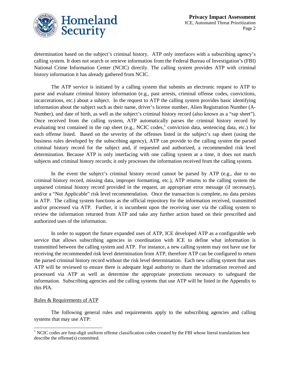

determination based on the subject's criminal history. ATP only interfaces with a subscribing agency's calling system. It does not search or retrieve information from the Federal Bureau of Investigation's (FBI) National Crime Information Center (NCIC) directly. The calling system provides ATP with criminal history information it has already gathered from NCIC.

The ATP service is initiated by a calling system that submits an electronic request to ATP to parse and evaluate criminal history information (e.g., past arrests, criminal offense codes, convictions, incarcerations, etc.) about a subject. In the request to ATP the calling system provides basic identifying information about the subject such as their name, driver's license number, Alien Registration Number (A-Number), and date of birth, as well as the subject's criminal history record (also known as a "rap sheet"). Once received from the calling system, ATP automatically parses the criminal history record by evaluating text contained in the rap sheet (e.g., NCIC codes,<sup>[1](#page-2-0)</sup> conviction data, sentencing data, etc.) for each offense listed. Based on the severity of the offenses listed in the subject's rap sheet (using the business rules developed by the subscribing agency), ATP can provide to the calling system the parsed criminal history record for the subject and, if requested and authorized, a recommended risk level determination. Because ATP is only interfacing with one calling system at a time, it does not match subjects and criminal history records; it only processes the information received from the calling system.

In the event the subject's criminal history record cannot be parsed by ATP (e.g., due to no criminal history record, missing data, improper formatting, etc.), ATP returns to the calling system the unparsed criminal history record provided in the request, an appropriate error message (if necessary), and/or a "Not Applicable" risk level recommendation. Once the transaction is complete, no data persists in ATP. The calling system functions as the official repository for the information received, transmitted and/or processed via ATP. Further, it is incumbent upon the receiving user via the calling system to review the information returned from ATP and take any further action based on their prescribed and authorized uses of the information.

In order to support the future expanded uses of ATP, ICE developed ATP as a configurable web service that allows subscribing agencies in coordination with ICE to define what information is transmitted between the calling system and ATP. For instance, a new calling system may not have use for receiving the recommended risk level determination from ATP, therefore ATP can be configured to return the parsed criminal history record without the risk level determination. Each new calling system that uses ATP will be reviewed to ensure there is adequate legal authority to share the information received and processed via ATP as well as determine the appropriate protections necessary to safeguard the information. Subscribing agencies and the calling systems that use ATP will be listed in the Appendix to this PIA.

#### Rules & Requirements of ATP

The following general rules and requirements apply to the subscribing agencies and calling systems that may use ATP:

<span id="page-2-0"></span> $1$  NCIC codes are four-digit uniform offense classification codes created by the FBI whose literal translations best describe the offense(s) committed.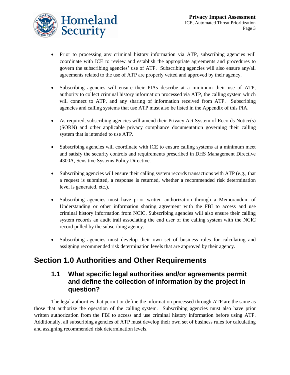

- Prior to processing any criminal history information via ATP, subscribing agencies will coordinate with ICE to review and establish the appropriate agreements and procedures to govern the subscribing agencies' use of ATP. Subscribing agencies will also ensure any/all agreements related to the use of ATP are properly vetted and approved by their agency.
- Subscribing agencies will ensure their PIAs describe at a minimum their use of ATP, authority to collect criminal history information processed via ATP, the calling system which will connect to ATP, and any sharing of information received from ATP. Subscribing agencies and calling systems that use ATP must also be listed in the Appendix of this PIA.
- As required, subscribing agencies will amend their Privacy Act System of Records Notice(s) (SORN) and other applicable privacy compliance documentation governing their calling system that is intended to use ATP.
- Subscribing agencies will coordinate with ICE to ensure calling systems at a minimum meet and satisfy the security controls and requirements prescribed in DHS Management Directive 4300A, Sensitive Systems Policy Directive.
- Subscribing agencies will ensure their calling system records transactions with ATP (e.g., that a request is submitted, a response is returned, whether a recommended risk determination level is generated, etc.).
- Subscribing agencies must have prior written authorization through a Memorandum of Understanding or other information sharing agreement with the FBI to access and use criminal history information from NCIC. Subscribing agencies will also ensure their calling system records an audit trail associating the end user of the calling system with the NCIC record pulled by the subscribing agency.
- Subscribing agencies must develop their own set of business rules for calculating and assigning recommended risk determination levels that are approved by their agency.

## **Section 1.0 Authorities and Other Requirements**

### **1.1 What specific legal authorities and/or agreements permit and define the collection of information by the project in question?**

The legal authorities that permit or define the information processed through ATP are the same as those that authorize the operation of the calling system. Subscribing agencies must also have prior written authorization from the FBI to access and use criminal history information before using ATP. Additionally, all subscribing agencies of ATP must develop their own set of business rules for calculating and assigning recommended risk determination levels.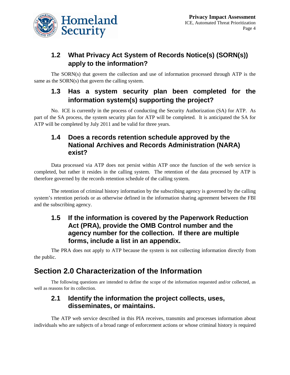

### **1.2 What Privacy Act System of Records Notice(s) (SORN(s)) apply to the information?**

The SORN(s) that govern the collection and use of information processed through ATP is the same as the SORN(s) that govern the calling system.

### **1.3 Has a system security plan been completed for the information system(s) supporting the project?**

No. ICE is currently in the process of conducting the Security Authorization (SA) for ATP. As part of the SA process, the system security plan for ATP will be completed. It is anticipated the SA for ATP will be completed by July 2011 and be valid for three years.

### **1.4 Does a records retention schedule approved by the National Archives and Records Administration (NARA) exist?**

Data processed via ATP does not persist within ATP once the function of the web service is completed, but rather it resides in the calling system. The retention of the data processed by ATP is therefore governed by the records retention schedule of the calling system.

The retention of criminal history information by the subscribing agency is governed by the calling system's retention periods or as otherwise defined in the information sharing agreement between the FBI and the subscribing agency.

### **1.5 If the information is covered by the Paperwork Reduction Act (PRA), provide the OMB Control number and the agency number for the collection. If there are multiple forms, include a list in an appendix.**

The PRA does not apply to ATP because the system is not collecting information directly from the public.

### **Section 2.0 Characterization of the Information**

The following questions are intended to define the scope of the information requested and/or collected, as well as reasons for its collection.

### **2.1 Identify the information the project collects, uses, disseminates, or maintains.**

The ATP web service described in this PIA receives, transmits and processes information about individuals who are subjects of a broad range of enforcement actions or whose criminal history is required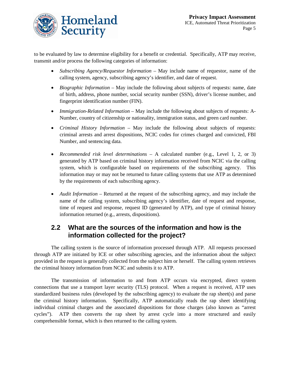

to be evaluated by law to determine eligibility for a benefit or credential. Specifically, ATP may receive, transmit and/or process the following categories of information:

- *Subscribing Agency/Requestor Information* May include name of requestor, name of the calling system, agency, subscribing agency's identifier, and date of request.
- *Biographic Information* May include the following about subjects of requests: name, date of birth, address, phone number, social security number (SSN), driver's license number, and fingerprint identification number (FIN).
- *Immigration-Related Information* May include the following about subjects of requests: A-Number, country of citizenship or nationality, immigration status, and green card number.
- *Criminal History Information* May include the following about subjects of requests: criminal arrests and arrest dispositions, NCIC codes for crimes charged and convicted, FBI Number, and sentencing data.
- *Recommended risk level determinations* A calculated number (e.g., Level 1, 2, or 3) generated by ATP based on criminal history information received from NCIC via the calling system, which is configurable based on requirements of the subscribing agency. This information may or may not be returned to future calling systems that use ATP as determined by the requirements of each subscribing agency.
- *Audit Information* Returned at the request of the subscribing agency, and may include the name of the calling system, subscribing agency's identifier, date of request and response, time of request and response, request ID (generated by ATP), and type of criminal history information returned (e.g., arrests, dispositions).

#### **2.2 What are the sources of the information and how is the information collected for the project?**

The calling system is the source of information processed through ATP. All requests processed through ATP are initiated by ICE or other subscribing agencies, and the information about the subject provided in the request is generally collected from the subject him or herself. The calling system retrieves the criminal history information from NCIC and submits it to ATP.

The transmission of information to and from ATP occurs via encrypted, direct system connections that use a transport layer security (TLS) protocol. When a request is received, ATP uses standardized business rules (developed by the subscribing agency) to evaluate the rap sheet(s) and parse the criminal history information. Specifically, ATP automatically reads the rap sheet identifying individual criminal charges and the associated dispositions for those charges (also known as "arrest cycles"). ATP then converts the rap sheet by arrest cycle into a more structured and easily comprehensible format, which is then returned to the calling system.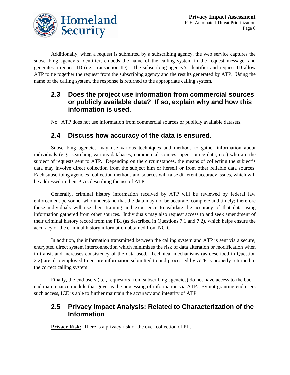

Additionally, when a request is submitted by a subscribing agency, the web service captures the subscribing agency's identifier, embeds the name of the calling system in the request message, and generates a request ID (i.e., transaction ID). The subscribing agency's identifier and request ID allow ATP to tie together the request from the subscribing agency and the results generated by ATP. Using the name of the calling system, the response is returned to the appropriate calling system.

### **2.3 Does the project use information from commercial sources or publicly available data? If so, explain why and how this information is used.**

No. ATP does not use information from commercial sources or publicly available datasets.

#### **2.4 Discuss how accuracy of the data is ensured.**

Subscribing agencies may use various techniques and methods to gather information about individuals (e.g., searching various databases, commercial sources, open source data, etc.) who are the subject of requests sent to ATP. Depending on the circumstances, the means of collecting the subject's data may involve direct collection from the subject him or herself or from other reliable data sources. Each subscribing agencies' collection methods and sources will raise different accuracy issues, which will be addressed in their PIAs describing the use of ATP.

Generally, criminal history information received by ATP will be reviewed by federal law enforcement personnel who understand that the data may not be accurate, complete and timely; therefore those individuals will use their training and experience to validate the accuracy of that data using information gathered from other sources. Individuals may also request access to and seek amendment of their criminal history record from the FBI (as described in Questions 7.1 and 7.2), which helps ensure the accuracy of the criminal history information obtained from NCIC.

In addition, the information transmitted between the calling system and ATP is sent via a secure, encrypted direct system interconnection which minimizes the risk of data alteration or modification when in transit and increases consistency of the data used. Technical mechanisms (as described in Question 2.2) are also employed to ensure information submitted to and processed by ATP is properly returned to the correct calling system.

Finally, the end users (i.e., requestors from subscribing agencies) do not have access to the backend maintenance module that governs the processing of information via ATP. By not granting end users such access, ICE is able to further maintain the accuracy and integrity of ATP.

### **2.5 Privacy Impact Analysis: Related to Characterization of the Information**

**Privacy Risk:** There is a privacy risk of the over-collection of PII.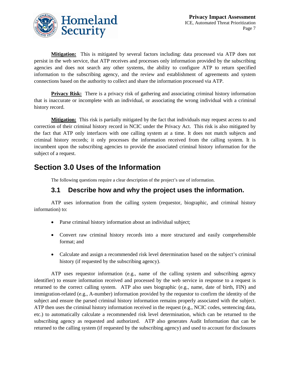

**Mitigation:** This is mitigated by several factors including: data processed via ATP does not persist in the web service, that ATP receives and processes only information provided by the subscribing agencies and does not search any other systems, the ability to configure ATP to return specified information to the subscribing agency, and the review and establishment of agreements and system connections based on the authority to collect and share the information processed via ATP.

**Privacy Risk:** There is a privacy risk of gathering and associating criminal history information that is inaccurate or incomplete with an individual, or associating the wrong individual with a criminal history record.

**Mitigation:** This risk is partially mitigated by the fact that individuals may request access to and correction of their criminal history record in NCIC under the Privacy Act. This risk is also mitigated by the fact that ATP only interfaces with one calling system at a time. It does not match subjects and criminal history records; it only processes the information received from the calling system. It is incumbent upon the subscribing agencies to provide the associated criminal history information for the subject of a request.

### **Section 3.0 Uses of the Information**

The following questions require a clear description of the project's use of information.

### **3.1 Describe how and why the project uses the information.**

ATP uses information from the calling system (requestor, biographic, and criminal history information) to:

- Parse criminal history information about an individual subject;
- Convert raw criminal history records into a more structured and easily comprehensible format; and
- Calculate and assign a recommended risk level determination based on the subject's criminal history (if requested by the subscribing agency).

ATP uses requestor information (e.g., name of the calling system and subscribing agency identifier) to ensure information received and processed by the web service in response to a request is returned to the correct calling system. ATP also uses biographic (e.g., name, date of birth, FIN) and immigration-related (e.g., A-number) information provided by the requestor to confirm the identity of the subject and ensure the parsed criminal history information remains properly associated with the subject. ATP then uses the criminal history information received in the request (e.g., NCIC codes, sentencing data, etc.) to automatically calculate a recommended risk level determination, which can be returned to the subscribing agency as requested and authorized. ATP also generates Audit Information that can be returned to the calling system (if requested by the subscribing agency) and used to account for disclosures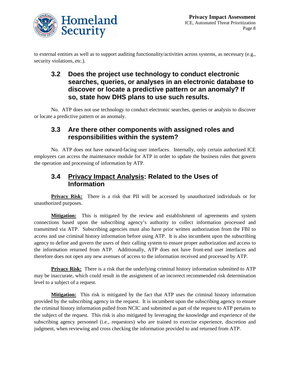

to external entities as well as to support auditing functionality/activities across systems, as necessary (e.g., security violations, etc.).

### **3.2 Does the project use technology to conduct electronic searches, queries, or analyses in an electronic database to discover or locate a predictive pattern or an anomaly? If so, state how DHS plans to use such results.**

No. ATP does not use technology to conduct electronic searches, queries or analysis to discover or locate a predictive pattern or an anomaly.

### **3.3 Are there other components with assigned roles and responsibilities within the system?**

No. ATP does not have outward-facing user interfaces. Internally, only certain authorized ICE employees can access the maintenance module for ATP in order to update the business rules that govern the operation and processing of information by ATP.

### **3.4 Privacy Impact Analysis: Related to the Uses of Information**

**Privacy Risk:** There is a risk that PII will be accessed by unauthorized individuals or for unauthorized purposes.

**Mitigation:** This is mitigated by the review and establishment of agreements and system connections based upon the subscribing agency's authority to collect information processed and transmitted via ATP. Subscribing agencies must also have prior written authorization from the FBI to access and use criminal history information before using ATP. It is also incumbent upon the subscribing agency to define and govern the users of their calling system to ensure proper authorization and access to the information returned from ATP. Additionally, ATP does not have front-end user interfaces and therefore does not open any new avenues of access to the information received and processed by ATP.

**Privacy Risk:** There is a risk that the underlying criminal history information submitted to ATP may be inaccurate, which could result in the assignment of an incorrect recommended risk determination level to a subject of a request.

**Mitigation:** This risk is mitigated by the fact that ATP uses the criminal history information provided by the subscribing agency in the request. It is incumbent upon the subscribing agency to ensure the criminal history information pulled from NCIC and submitted as part of the request to ATP pertains to the subject of the request. This risk is also mitigated by leveraging the knowledge and experience of the subscribing agency personnel (i.e., requestors) who are trained to exercise experience, discretion and judgment, when reviewing and cross checking the information provided to and returned from ATP.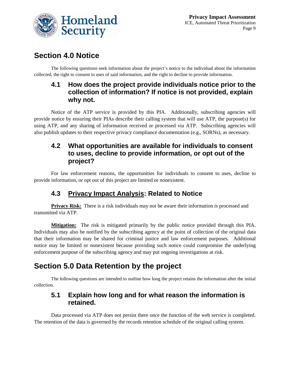

### **Section 4.0 Notice**

The following questions seek information about the project's notice to the individual about the information collected, the right to consent to uses of said information, and the right to decline to provide information.

### **4.1 How does the project provide individuals notice prior to the collection of information? If notice is not provided, explain why not.**

Notice of the ATP service is provided by this PIA. Additionally, subscribing agencies will provide notice by ensuring their PIAs describe their calling system that will use ATP, the purpose(s) for using ATP, and any sharing of information received or processed via ATP. Subscribing agencies will also publish updates to their respective privacy compliance documentation (e.g., SORNs), as necessary.

### **4.2 What opportunities are available for individuals to consent to uses, decline to provide information, or opt out of the project?**

For law enforcement reasons, the opportunities for individuals to consent to uses, decline to provide information, or opt out of this project are limited or nonexistent.

### **4.3 Privacy Impact Analysis: Related to Notice**

**Privacy Risk:** There is a risk individuals may not be aware their information is processed and transmitted via ATP.

**Mitigation:** The risk is mitigated primarily by the public notice provided through this PIA. Individuals may also be notified by the subscribing agency at the point of collection of the original data that their information may be shared for criminal justice and law enforcement purposes. Additional notice may be limited or nonexistent because providing such notice could compromise the underlying enforcement purpose of the subscribing agency and may put ongoing investigations at risk.

## **Section 5.0 Data Retention by the project**

The following questions are intended to outline how long the project retains the information after the initial collection.

### **5.1 Explain how long and for what reason the information is retained.**

Data processed via ATP does not persist there once the function of the web service is completed. The retention of the data is governed by the records retention schedule of the original calling system.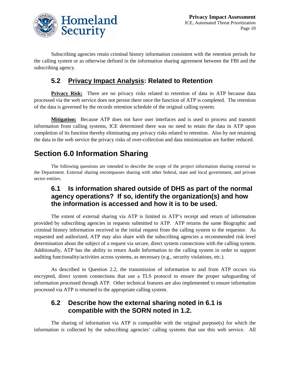

Subscribing agencies retain criminal history information consistent with the retention periods for the calling system or as otherwise defined in the information sharing agreement between the FBI and the subscribing agency.

### **5.2 Privacy Impact Analysis: Related to Retention**

**Privacy Risk:** There are no privacy risks related to retention of data in ATP because data processed via the web service does not persist there once the function of ATP is completed. The retention of the data is governed by the records retention schedule of the original calling system.

**Mitigation:** Because ATP does not have user interfaces and is used to process and transmit information from calling systems, ICE determined there was no need to retain the data in ATP upon completion of its function thereby eliminating any privacy risks related to retention. Also by not retaining the data in the web service the privacy risks of over-collection and data minimization are further reduced.

### **Section 6.0 Information Sharing**

The following questions are intended to describe the scope of the project information sharing external to the Department. External sharing encompasses sharing with other federal, state and local government, and private sector entities.

### **6.1 Is information shared outside of DHS as part of the normal agency operations? If so, identify the organization(s) and how the information is accessed and how it is to be used.**

The extent of external sharing via ATP is limited to ATP's receipt and return of information provided by subscribing agencies in requests submitted to ATP. ATP returns the same Biographic and criminal history information received in the initial request from the calling system to the requestor. As requested and authorized, ATP may also share with the subscribing agencies a recommended risk level determination about the subject of a request via secure, direct system connections with the calling system. Additionally, ATP has the ability to return Audit Information to the calling system in order to support auditing functionality/activities across systems, as necessary (e.g., security violations, etc.).

As described in Question 2.2, the transmission of information to and from ATP occurs via encrypted, direct system connections that use a TLS protocol to ensure the proper safeguarding of information processed through ATP. Other technical features are also implemented to ensure information processed via ATP is returned to the appropriate calling system.

#### **6.2 Describe how the external sharing noted in 6.1 is compatible with the SORN noted in 1.2.**

The sharing of information via ATP is compatible with the original purpose(s) for which the information is collected by the subscribing agencies' calling systems that use this web service. All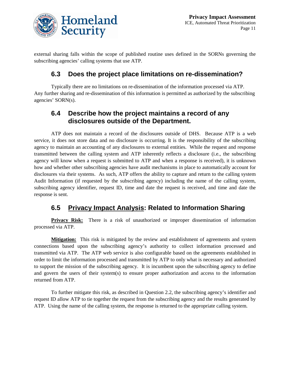

external sharing falls within the scope of published routine uses defined in the SORNs governing the subscribing agencies' calling systems that use ATP.

### **6.3 Does the project place limitations on re-dissemination?**

Typically there are no limitations on re-dissemination of the information processed via ATP. Any further sharing and re-dissemination of this information is permitted as authorized by the subscribing agencies' SORN(s).

### **6.4 Describe how the project maintains a record of any disclosures outside of the Department.**

ATP does not maintain a record of the disclosures outside of DHS. Because ATP is a web service, it does not store data and no disclosure is occurring. It is the responsibility of the subscribing agency to maintain an accounting of any disclosures to external entities. While the request and response transmitted between the calling system and ATP inherently reflects a disclosure (i.e., the subscribing agency will know when a request is submitted to ATP and when a response is received), it is unknown how and whether other subscribing agencies have audit mechanisms in place to automatically account for disclosures via their systems. As such, ATP offers the ability to capture and return to the calling system Audit Information (if requested by the subscribing agency) including the name of the calling system, subscribing agency identifier, request ID, time and date the request is received, and time and date the response is sent.

### **6.5 Privacy Impact Analysis: Related to Information Sharing**

**Privacy Risk:** There is a risk of unauthorized or improper dissemination of information processed via ATP.

**Mitigation:** This risk is mitigated by the review and establishment of agreements and system connections based upon the subscribing agency's authority to collect information processed and transmitted via ATP. The ATP web service is also configurable based on the agreements established in order to limit the information processed and transmitted by ATP to only what is necessary and authorized to support the mission of the subscribing agency. It is incumbent upon the subscribing agency to define and govern the users of their system(s) to ensure proper authorization and access to the information returned from ATP.

To further mitigate this risk, as described in Question 2.2, the subscribing agency's identifier and request ID allow ATP to tie together the request from the subscribing agency and the results generated by ATP. Using the name of the calling system, the response is returned to the appropriate calling system.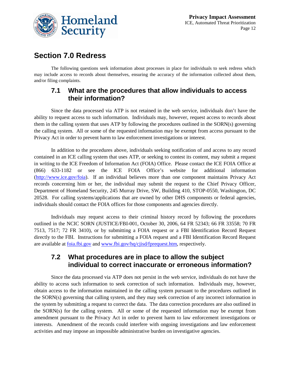

### **Section 7.0 Redress**

The following questions seek information about processes in place for individuals to seek redress which may include access to records about themselves, ensuring the accuracy of the information collected about them, and/or filing complaints.

#### **7.1 What are the procedures that allow individuals to access their information?**

Since the data processed via ATP is not retained in the web service, individuals don't have the ability to request access to such information. Individuals may, however, request access to records about them in the calling system that uses ATP by following the procedures outlined in the SORN(s) governing the calling system. All or some of the requested information may be exempt from access pursuant to the Privacy Act in order to prevent harm to law enforcement investigations or interest.

In addition to the procedures above, individuals seeking notification of and access to any record contained in an ICE calling system that uses ATP, or seeking to contest its content, may submit a request in writing to the ICE Freedom of Information Act (FOIA) Office. Please contact the ICE FOIA Office at (866) 633-1182 or see the ICE FOIA Office's website for additional information [\(http://www.ice.gov/foia\)](http://www.ice.gov/foia). If an individual believes more than one component maintains Privacy Act records concerning him or her, the individual may submit the request to the Chief Privacy Officer, Department of Homeland Security, 245 Murray Drive, SW, Building 410, STOP-0550, Washington, DC 20528. For calling systems/applications that are owned by other DHS components or federal agencies, individuals should contact the FOIA offices for those components and agencies directly.

Individuals may request access to their criminal history record by following the procedures outlined in the NCIC SORN (JUSTICE/FBI-001, October 30, 2006, 64 FR 52343; 66 FR 33558; 70 FR 7513, 7517; 72 FR 3410), or by submitting a FOIA request or a FBI Identification Record Request directly to the FBI. Instructions for submitting a FOIA request and a FBI Identification Record Request are available at foia.fbi.gov and [www.fbi.gov/hq/cjisd/fprequest.htm,](http://www.fbi.gov/hq/cjisd/fprequest.htm) respectively.

#### **7.2 What procedures are in place to allow the subject individual to correct inaccurate or erroneous information?**

Since the data processed via ATP does not persist in the web service, individuals do not have the ability to access such information to seek correction of such information. Individuals may, however, obtain access to the information maintained in the calling system pursuant to the procedures outlined in the SORN(s) governing that calling system, and they may seek correction of any incorrect information in the system by submitting a request to correct the data. The data correction procedures are also outlined in the SORN(s) for the calling system. All or some of the requested information may be exempt from amendment pursuant to the Privacy Act in order to prevent harm to law enforcement investigations or interests. Amendment of the records could interfere with ongoing investigations and law enforcement activities and may impose an impossible administrative burden on investigative agencies.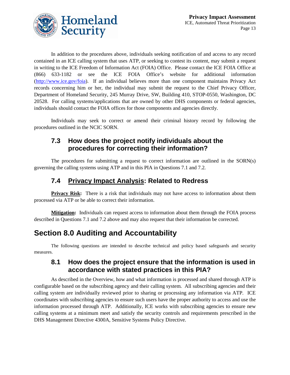

In addition to the procedures above, individuals seeking notification of and access to any record contained in an ICE calling system that uses ATP, or seeking to contest its content, may submit a request in writing to the ICE Freedom of Information Act (FOIA) Office. Please contact the ICE FOIA Office at (866) 633-1182 or see the ICE FOIA Office's website for additional information [\(http://www.ice.gov/foia\)](http://www.ice.gov/foia). If an individual believes more than one component maintains Privacy Act records concerning him or her, the individual may submit the request to the Chief Privacy Officer, Department of Homeland Security, 245 Murray Drive, SW, Building 410, STOP-0550, Washington, DC 20528. For calling systems/applications that are owned by other DHS components or federal agencies, individuals should contact the FOIA offices for those components and agencies directly.

Individuals may seek to correct or amend their criminal history record by following the procedures outlined in the NCIC SORN.

### **7.3 How does the project notify individuals about the procedures for correcting their information?**

The procedures for submitting a request to correct information are outlined in the SORN(s) governing the calling systems using ATP and in this PIA in Questions 7.1 and 7.2.

### **7.4 Privacy Impact Analysis: Related to Redress**

**Privacy Risk:** There is a risk that individuals may not have access to information about them processed via ATP or be able to correct their information.

**Mitigation :** Individuals can request access to information about them through the FOIA process described in Questions 7.1 and 7.2 above and may also request that their information be corrected.

## **Section 8.0 Auditing and Accountability**

The following questions are intended to describe technical and policy based safeguards and security measures.

#### **8.1 How does the project ensure that the information is used in accordance with stated practices in this PIA?**

As described in the Overview, how and what information is processed and shared through ATP is configurable based on the subscribing agency and their calling system. All subscribing agencies and their calling system are individually reviewed prior to sharing or processing any information via ATP. ICE coordinates with subscribing agencies to ensure such users have the proper authority to access and use the information processed through ATP. Additionally, ICE works with subscribing agencies to ensure new calling systems at a minimum meet and satisfy the security controls and requirements prescribed in the DHS Management Directive 4300A, Sensitive Systems Policy Directive.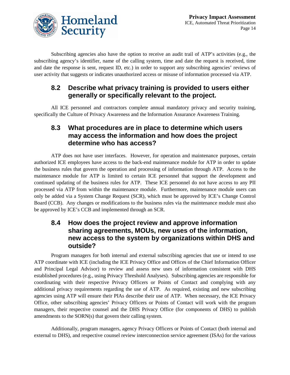

Subscribing agencies also have the option to receive an audit trail of ATP's activities (e.g., the subscribing agency's identifier, name of the calling system, time and date the request is received, time and date the response is sent, request ID, etc.) in order to support any subscribing agencies' reviews of user activity that suggests or indicates unauthorized access or misuse of information processed via ATP.

### **8.2 Describe what privacy training is provided to users either generally or specifically relevant to the project.**

All ICE personnel and contractors complete annual mandatory privacy and security training, specifically the Culture of Privacy Awareness and the Information Assurance Awareness Training.

### **8.3 What procedures are in place to determine which users may access the information and how does the project determine who has access?**

ATP does not have user interfaces. However, for operation and maintenance purposes, certain authorized ICE employees have access to the back-end maintenance module for ATP in order to update the business rules that govern the operation and processing of information through ATP. Access to the maintenance module for ATP is limited to certain ICE personnel that support the development and continued updating of the business rules for ATP. These ICE personnel do not have access to any PII processed via ATP from within the maintenance module. Furthermore, maintenance module users can only be added via a System Change Request (SCR), which must be approved by ICE's Change Control Board (CCB). Any changes or modifications to the business rules via the maintenance module must also be approved by ICE's CCB and implemented through an SCR.

#### **8.4 How does the project review and approve information sharing agreements, MOUs, new uses of the information, new access to the system by organizations within DHS and outside?**

Program managers for both internal and external subscribing agencies that use or intend to use ATP coordinate with ICE (including the ICE Privacy Office and Offices of the Chief Information Officer and Principal Legal Advisor) to review and assess new uses of information consistent with DHS established procedures (e.g., using Privacy Threshold Analyses). Subscribing agencies are responsible for coordinating with their respective Privacy Officers or Points of Contact and complying with any additional privacy requirements regarding the use of ATP. As required, existing and new subscribing agencies using ATP will ensure their PIAs describe their use of ATP. When necessary, the ICE Privacy Office, other subscribing agencies' Privacy Officers or Points of Contact will work with the program managers, their respective counsel and the DHS Privacy Office (for components of DHS) to publish amendments to the SORN(s) that govern their calling system.

Additionally, program managers, agency Privacy Officers or Points of Contact (both internal and external to DHS), and respective counsel review interconnection service agreement (ISAs) for the various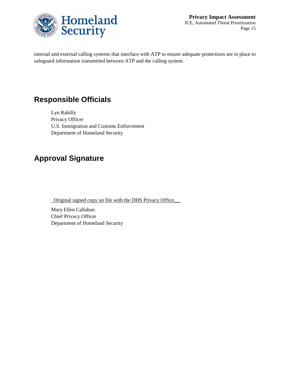

internal and external calling systems that interface with ATP to ensure adequate protections are in place to safeguard information transmitted between ATP and the calling system.

## **Responsible Officials**

Lyn Rahilly Privacy Officer U.S. Immigration and Customs Enforcement Department of Homeland Security

## **Approval Signature**

\_Original signed copy on file with the DHS Privacy Office.\_\_

Mary Ellen Callahan Chief Privacy Officer Department of Homeland Security